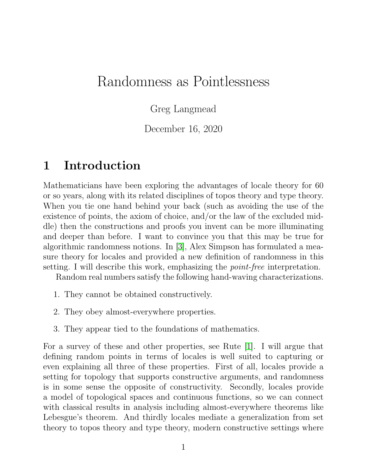# Randomness as Pointlessness

Greg Langmead

December 16, 2020

# 1 Introduction

Mathematicians have been exploring the advantages of locale theory for 60 or so years, along with its related disciplines of topos theory and type theory. When you tie one hand behind your back (such as avoiding the use of the existence of points, the axiom of choice, and/or the law of the excluded middle) then the constructions and proofs you invent can be more illuminating and deeper than before. I want to convince you that this may be true for algorithmic randomness notions. In [\[3\]](#page-11-0), Alex Simpson has formulated a measure theory for locales and provided a new definition of randomness in this setting. I will describe this work, emphasizing the *point-free* interpretation.

Random real numbers satisfy the following hand-waving characterizations.

- 1. They cannot be obtained constructively.
- 2. They obey almost-everywhere properties.
- 3. They appear tied to the foundations of mathematics.

For a survey of these and other properties, see Rute [\[1\]](#page-11-1). I will argue that defining random points in terms of locales is well suited to capturing or even explaining all three of these properties. First of all, locales provide a setting for topology that supports constructive arguments, and randomness is in some sense the opposite of constructivity. Secondly, locales provide a model of topological spaces and continuous functions, so we can connect with classical results in analysis including almost-everywhere theorems like Lebesgue's theorem. And thirdly locales mediate a generalization from set theory to topos theory and type theory, modern constructive settings where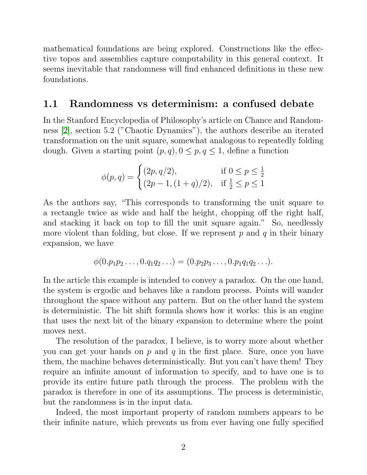mathematical foundations are being explored. Constructions like the effective topos and assemblies capture computability in this general context. It seems inevitable that randomness will find enhanced definitions in these new foundations.

#### 1.1 Randomness vs determinism: a confused debate

In the Stanford Encyclopedia of Philosophy's article on Chance and Randomness [\[2\]](#page-11-2), section 5.2 ("Chaotic Dynamics"), the authors describe an iterated transformation on the unit square, somewhat analogous to repeatedly folding dough. Given a starting point  $(p, q)$ ,  $0 \leq p, q \leq 1$ , define a function

$$
\phi(p,q) = \begin{cases} (2p, q/2), & \text{if } 0 \le p \le \frac{1}{2} \\ (2p - 1, (1 + q)/2), & \text{if } \frac{1}{2} \le p \le 1 \end{cases}
$$

As the authors say, "This corresponds to transforming the unit square to a rectangle twice as wide and half the height, chopping off the right half, and stacking it back on top to fill the unit square again." So, needlessly more violent than folding, but close. If we represent  $p$  and  $q$  in their binary expansion, we have

$$
\phi(0.p_1p_2\ldots, 0.q_1q_2\ldots) = (0.p_2p_3\ldots, 0.p_1q_1q_2\ldots).
$$

In the article this example is intended to convey a paradox. On the one hand, the system is ergodic and behaves like a random process. Points will wander throughout the space without any pattern. But on the other hand the system is deterministic. The bit shift formula shows how it works: this is an engine that uses the next bit of the binary expansion to determine where the point moves next.

The resolution of the paradox, I believe, is to worry more about whether you can get your hands on  $p$  and  $q$  in the first place. Sure, once you have them, the machine behaves deterministically. But you can't have them! They require an infinite amount of information to specify, and to have one is to provide its entire future path through the process. The problem with the paradox is therefore in one of its assumptions. The process is deterministic, but the randomness is in the input data.

Indeed, the most important property of random numbers appears to be their infinite nature, which prevents us from ever having one fully specified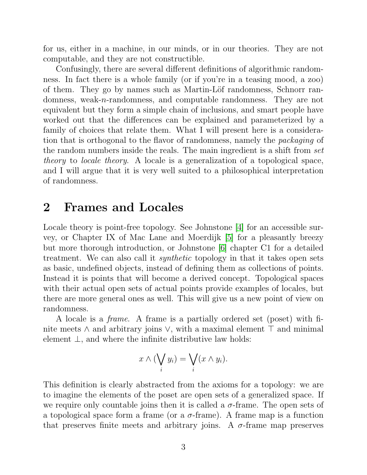for us, either in a machine, in our minds, or in our theories. They are not computable, and they are not constructible.

Confusingly, there are several different definitions of algorithmic randomness. In fact there is a whole family (or if you're in a teasing mood, a zoo) of them. They go by names such as Martin-Löf randomness, Schnorr randomness, weak-n-randomness, and computable randomness. They are not equivalent but they form a simple chain of inclusions, and smart people have worked out that the differences can be explained and parameterized by a family of choices that relate them. What I will present here is a consideration that is orthogonal to the flavor of randomness, namely the packaging of the random numbers inside the reals. The main ingredient is a shift from set theory to locale theory. A locale is a generalization of a topological space, and I will argue that it is very well suited to a philosophical interpretation of randomness.

# 2 Frames and Locales

Locale theory is point-free topology. See Johnstone [\[4\]](#page-11-3) for an accessible survey, or Chapter IX of Mac Lane and Moerdijk [\[5\]](#page-11-4) for a pleasantly breezy but more thorough introduction, or Johnstone [\[6\]](#page-11-5) chapter C1 for a detailed treatment. We can also call it synthetic topology in that it takes open sets as basic, undefined objects, instead of defining them as collections of points. Instead it is points that will become a derived concept. Topological spaces with their actual open sets of actual points provide examples of locales, but there are more general ones as well. This will give us a new point of view on randomness.

A locale is a frame. A frame is a partially ordered set (poset) with finite meets  $\wedge$  and arbitrary joins  $\vee$ , with a maximal element  $\top$  and minimal element  $\perp$ , and where the infinite distributive law holds:

$$
x \wedge (\bigvee_i y_i) = \bigvee_i (x \wedge y_i).
$$

This definition is clearly abstracted from the axioms for a topology: we are to imagine the elements of the poset are open sets of a generalized space. If we require only countable joins then it is called a  $\sigma$ -frame. The open sets of a topological space form a frame (or a  $\sigma$ -frame). A frame map is a function that preserves finite meets and arbitrary joins. A  $\sigma$ -frame map preserves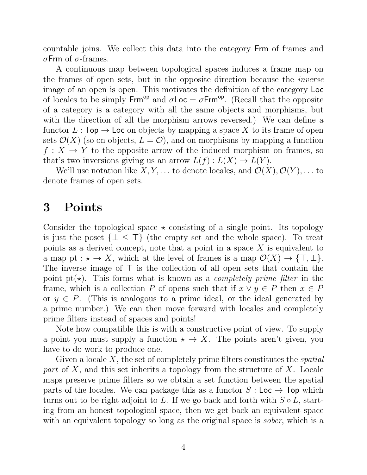countable joins. We collect this data into the category Frm of frames and σFrm of σ-frames.

A continuous map between topological spaces induces a frame map on the frames of open sets, but in the opposite direction because the inverse image of an open is open. This motivates the definition of the category Loc of locales to be simply Frm<sup>op</sup> and  $\sigma$ Loc =  $\sigma$ Frm<sup>op</sup>. (Recall that the opposite of a category is a category with all the same objects and morphisms, but with the direction of all the morphism arrows reversed.) We can define a functor  $L : \mathsf{Top} \to \mathsf{Loc}$  on objects by mapping a space X to its frame of open sets  $\mathcal{O}(X)$  (so on objects,  $L = \mathcal{O}$ ), and on morphisms by mapping a function  $f: X \to Y$  to the opposite arrow of the induced morphism on frames, so that's two inversions giving us an arrow  $L(f): L(X) \to L(Y)$ .

We'll use notation like  $X, Y, \ldots$  to denote locales, and  $\mathcal{O}(X), \mathcal{O}(Y), \ldots$  to denote frames of open sets.

### 3 Points

Consider the topological space  $\star$  consisting of a single point. Its topology is just the poset  $\{\perp \leq \top\}$  (the empty set and the whole space). To treat points as a derived concept, note that a point in a space X is equivalent to a map pt :  $\star \to X$ , which at the level of frames is a map  $\mathcal{O}(X) \to {\top, \bot}$ . The inverse image of  $\top$  is the collection of all open sets that contain the point pt( $\star$ ). This forms what is known as a *completely prime filter* in the frame, which is a collection P of opens such that if  $x \vee y \in P$  then  $x \in P$ or  $y \in P$ . (This is analogous to a prime ideal, or the ideal generated by a prime number.) We can then move forward with locales and completely prime filters instead of spaces and points!

Note how compatible this is with a constructive point of view. To supply a point you must supply a function  $\star \to X$ . The points aren't given, you have to do work to produce one.

Given a locale  $X$ , the set of completely prime filters constitutes the *spatial* part of X, and this set inherits a topology from the structure of X. Locale maps preserve prime filters so we obtain a set function between the spatial parts of the locales. We can package this as a functor  $S:$  Loc  $\rightarrow$  Top which turns out to be right adjoint to L. If we go back and forth with  $S \circ L$ , starting from an honest topological space, then we get back an equivalent space with an equivalent topology so long as the original space is *sober*, which is a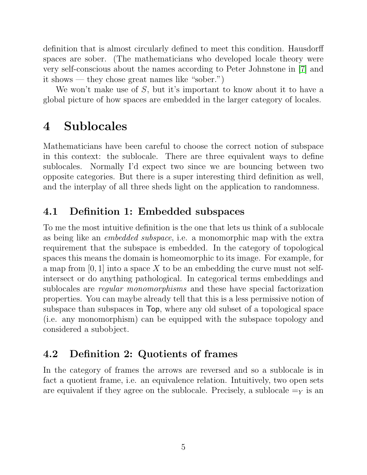definition that is almost circularly defined to meet this condition. Hausdorff spaces are sober. (The mathematicians who developed locale theory were very self-conscious about the names according to Peter Johnstone in [\[7\]](#page-11-6) and it shows — they chose great names like "sober.")

We won't make use of S, but it's important to know about it to have a global picture of how spaces are embedded in the larger category of locales.

# 4 Sublocales

Mathematicians have been careful to choose the correct notion of subspace in this context: the sublocale. There are three equivalent ways to define sublocales. Normally I'd expect two since we are bouncing between two opposite categories. But there is a super interesting third definition as well, and the interplay of all three sheds light on the application to randomness.

## 4.1 Definition 1: Embedded subspaces

To me the most intuitive definition is the one that lets us think of a sublocale as being like an embedded subspace, i.e. a monomorphic map with the extra requirement that the subspace is embedded. In the category of topological spaces this means the domain is homeomorphic to its image. For example, for a map from  $[0, 1]$  into a space X to be an embedding the curve must not selfintersect or do anything pathological. In categorical terms embeddings and sublocales are regular monomorphisms and these have special factorization properties. You can maybe already tell that this is a less permissive notion of subspace than subspaces in Top, where any old subset of a topological space (i.e. any monomorphism) can be equipped with the subspace topology and considered a subobject.

### 4.2 Definition 2: Quotients of frames

In the category of frames the arrows are reversed and so a sublocale is in fact a quotient frame, i.e. an equivalence relation. Intuitively, two open sets are equivalent if they agree on the sublocale. Precisely, a sublocale  $=y$  is an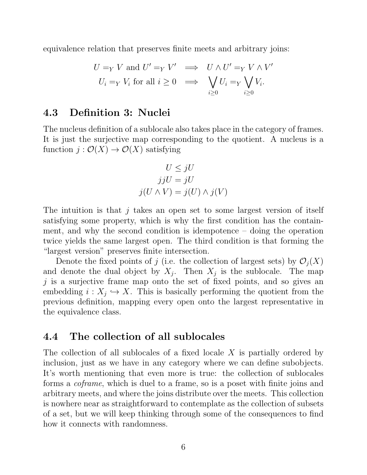equivalence relation that preserves finite meets and arbitrary joins:

$$
U =_{Y} V \text{ and } U' =_{Y} V' \implies U \wedge U' =_{Y} V \wedge V'
$$
  

$$
U_{i} =_{Y} V_{i} \text{ for all } i \geq 0 \implies \bigvee_{i \geq 0} U_{i} =_{Y} \bigvee_{i \geq 0} V_{i}.
$$

#### 4.3 Definition 3: Nuclei

The nucleus definition of a sublocale also takes place in the category of frames. It is just the surjective map corresponding to the quotient. A nucleus is a function  $j: \mathcal{O}(X) \to \mathcal{O}(X)$  satisfying

$$
U \leq jU
$$
  
\n
$$
jjU = jU
$$
  
\n
$$
j(U \wedge V) = j(U) \wedge j(V)
$$

The intuition is that j takes an open set to some largest version of itself satisfying some property, which is why the first condition has the containment, and why the second condition is idempotence – doing the operation twice yields the same largest open. The third condition is that forming the "largest version" preserves finite intersection.

Denote the fixed points of j (i.e. the collection of largest sets) by  $\mathcal{O}_i(X)$ and denote the dual object by  $X_j$ . Then  $X_j$  is the sublocale. The map  $j$  is a surjective frame map onto the set of fixed points, and so gives an embedding  $i: X_j \hookrightarrow X$ . This is basically performing the quotient from the previous definition, mapping every open onto the largest representative in the equivalence class.

#### 4.4 The collection of all sublocales

The collection of all sublocales of a fixed locale X is partially ordered by inclusion, just as we have in any category where we can define subobjects. It's worth mentioning that even more is true: the collection of sublocales forms a coframe, which is duel to a frame, so is a poset with finite joins and arbitrary meets, and where the joins distribute over the meets. This collection is nowhere near as straightforward to contemplate as the collection of subsets of a set, but we will keep thinking through some of the consequences to find how it connects with randomness.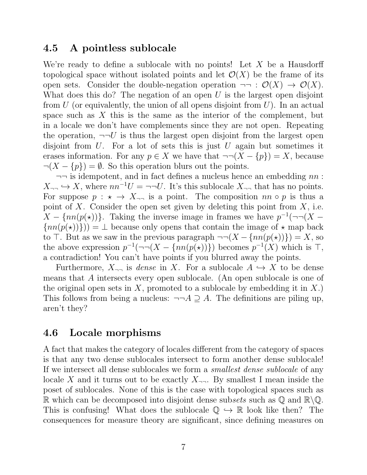#### 4.5 A pointless sublocale

We're ready to define a sublocale with no points! Let X be a Hausdorff topological space without isolated points and let  $\mathcal{O}(X)$  be the frame of its open sets. Consider the double-negation operation  $\neg\neg : \mathcal{O}(X) \to \mathcal{O}(X)$ . What does this do? The negation of an open  $U$  is the largest open disjoint from  $U$  (or equivalently, the union of all opens disjoint from  $U$ ). In an actual space such as  $X$  this is the same as the interior of the complement, but in a locale we don't have complements since they are not open. Repeating the operation,  $\neg\neg U$  is thus the largest open disjoint from the largest open disjoint from  $U$ . For a lot of sets this is just  $U$  again but sometimes it erases information. For any  $p \in X$  we have that  $\neg \neg (X - \{p\}) = X$ , because  $\neg(X - \{p\}) = \emptyset$ . So this operation blurs out the points.

 $\neg\neg$  is idempotent, and in fact defines a nucleus hence an embedding  $nn$ :  $X_{\neg\neg} \hookrightarrow X$ , where  $nn^{-1}U = \neg\neg U$ . It's this sublocale  $X_{\neg\neg}$  that has no points. For suppose  $p : \star \to X_{\neg \neg}$  is a point. The composition  $nn \circ p$  is thus a point of X. Consider the open set given by deleting this point from  $X$ , i.e.  $X - \{nn(p(\star))\}$ . Taking the inverse image in frames we have  $p^{-1}(\neg\neg(X \{nn(p(\star))\}) = \bot$  because only opens that contain the image of  $\star$  map back to  $\top$ . But as we saw in the previous paragraph  $\neg (X - \{nn(p(\star))\}) = X$ , so the above expression  $p^{-1}(\neg\neg(X - \{nn(p(\star))\})$  becomes  $p^{-1}(X)$  which is T, a contradiction! You can't have points if you blurred away the points.

Furthermore,  $X_{\neg \neg}$  is *dense* in X. For a sublocale  $A \hookrightarrow X$  to be dense means that A intersects every open sublocale. (An open sublocale is one of the original open sets in X, promoted to a sublocale by embedding it in X. This follows from being a nucleus:  $\neg\neg A \supseteq A$ . The definitions are piling up, aren't they?

#### 4.6 Locale morphisms

A fact that makes the category of locales different from the category of spaces is that any two dense sublocales intersect to form another dense sublocale! If we intersect all dense sublocales we form a smallest dense sublocale of any locale X and it turns out to be exactly  $X_{\neg \neg}$ . By smallest I mean inside the poset of sublocales. None of this is the case with topological spaces such as R which can be decomposed into disjoint dense subsets such as  $\mathbb{Q}$  and  $\mathbb{R}\backslash\mathbb{Q}$ . This is confusing! What does the sublocale  $\mathbb{Q} \hookrightarrow \mathbb{R}$  look like then? The consequences for measure theory are significant, since defining measures on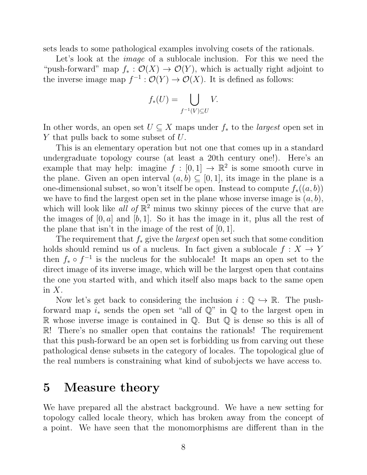sets leads to some pathological examples involving cosets of the rationals.

Let's look at the *image* of a sublocale inclusion. For this we need the "push-forward" map  $f_* : \mathcal{O}(X) \to \mathcal{O}(Y)$ , which is actually right adjoint to the inverse image map  $f^{-1}: \mathcal{O}(Y) \to \mathcal{O}(X)$ . It is defined as follows:

$$
f_*(U) = \bigcup_{f^{-1}(V) \subseteq U} V.
$$

In other words, an open set  $U \subseteq X$  maps under  $f_*$  to the *largest* open set in Y that pulls back to some subset of U.

This is an elementary operation but not one that comes up in a standard undergraduate topology course (at least a 20th century one!). Here's an example that may help: imagine  $f : [0,1] \to \mathbb{R}^2$  is some smooth curve in the plane. Given an open interval  $(a, b) \subseteq [0, 1]$ , its image in the plane is a one-dimensional subset, so won't itself be open. Instead to compute  $f_*(a, b)$ we have to find the largest open set in the plane whose inverse image is  $(a, b)$ , which will look like all of  $\mathbb{R}^2$  minus two skinny pieces of the curve that are the images of  $[0, a]$  and  $[b, 1]$ . So it has the image in it, plus all the rest of the plane that isn't in the image of the rest of  $[0, 1]$ .

The requirement that  $f_*$  give the *largest* open set such that some condition holds should remind us of a nucleus. In fact given a sublocale  $f: X \to Y$ then  $f_* \circ f^{-1}$  is the nucleus for the sublocale! It maps an open set to the direct image of its inverse image, which will be the largest open that contains the one you started with, and which itself also maps back to the same open in  $X$ .

Now let's get back to considering the inclusion  $i : \mathbb{Q} \hookrightarrow \mathbb{R}$ . The pushforward map  $i_*$  sends the open set "all of  $\mathbb{Q}$ " in  $\mathbb{Q}$  to the largest open in R whose inverse image is contained in  $\mathbb Q$ . But  $\mathbb Q$  is dense so this is all of R! There's no smaller open that contains the rationals! The requirement that this push-forward be an open set is forbidding us from carving out these pathological dense subsets in the category of locales. The topological glue of the real numbers is constraining what kind of subobjects we have access to.

### 5 Measure theory

We have prepared all the abstract background. We have a new setting for topology called locale theory, which has broken away from the concept of a point. We have seen that the monomorphisms are different than in the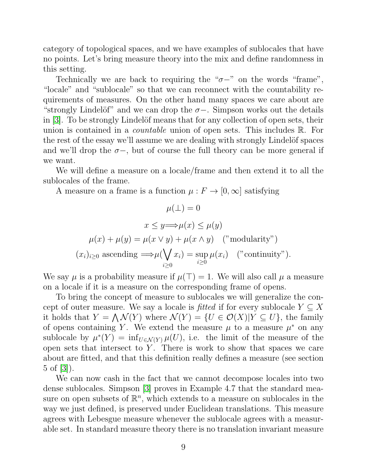category of topological spaces, and we have examples of sublocales that have no points. Let's bring measure theory into the mix and define randomness in this setting.

Technically we are back to requiring the " $\sigma$ −" on the words "frame", "locale" and "sublocale" so that we can reconnect with the countability requirements of measures. On the other hand many spaces we care about are "strongly Lindelöf" and we can drop the  $\sigma-$ . Simpson works out the details in  $|3|$ . To be strongly Lindelöf means that for any collection of open sets, their union is contained in a *countable* union of open sets. This includes R. For the rest of the essay we'll assume we are dealing with strongly Lindelöf spaces and we'll drop the  $\sigma$ -, but of course the full theory can be more general if we want.

We will define a measure on a locale/frame and then extend it to all the sublocales of the frame.

A measure on a frame is a function  $\mu : F \to [0, \infty]$  satisfying

$$
\mu(\bot) = 0
$$

$$
x \le y \Longrightarrow \mu(x) \le \mu(y)
$$

$$
\mu(x) + \mu(y) = \mu(x \lor y) + \mu(x \land y) \quad ("modularity")
$$

$$
(x_i)_{i \ge 0} \text{ ascending } \Longrightarrow \mu(\bigvee_{i \ge 0} x_i) = \sup_{i \ge 0} \mu(x_i) \quad ("continuity").
$$

We say  $\mu$  is a probability measure if  $\mu(\top) = 1$ . We will also call  $\mu$  a measure on a locale if it is a measure on the corresponding frame of opens.

To bring the concept of measure to sublocales we will generalize the concept of outer measure. We say a locale is *fitted* if for every sublocale  $Y \subseteq X$ it holds that  $Y = \bigwedge \mathcal{N}(Y)$  where  $\mathcal{N}(Y) = \{U \in \mathcal{O}(X)| Y \subseteq U\}$ , the family of opens containing Y. We extend the measure  $\mu$  to a measure  $\mu^*$  on any sublocale by  $\mu^*(Y) = \inf_{U \in \mathcal{N}(Y)} \mu(U)$ , i.e. the limit of the measure of the open sets that intersect to  $Y$ . There is work to show that spaces we care about are fitted, and that this definition really defines a measure (see section 5 of [\[3\]](#page-11-0)).

We can now cash in the fact that we cannot decompose locales into two dense sublocales. Simpson [\[3\]](#page-11-0) proves in Example 4.7 that the standard measure on open subsets of  $\mathbb{R}^n$ , which extends to a measure on sublocales in the way we just defined, is preserved under Euclidean translations. This measure agrees with Lebesgue measure whenever the sublocale agrees with a measurable set. In standard measure theory there is no translation invariant measure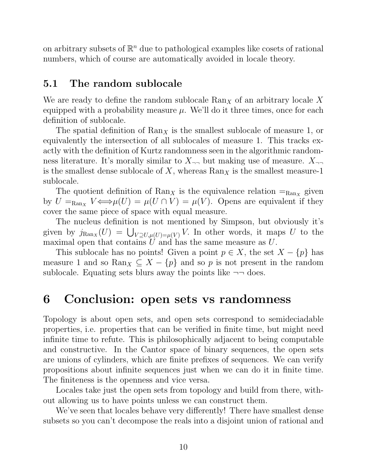on arbitrary subsets of  $\mathbb{R}^n$  due to pathological examples like cosets of rational numbers, which of course are automatically avoided in locale theory.

### 5.1 The random sublocale

We are ready to define the random sublocale  $\text{Ran}_X$  of an arbitrary locale X equipped with a probability measure  $\mu$ . We'll do it three times, once for each definition of sublocale.

The spatial definition of  $\text{Ran}_X$  is the smallest sublocale of measure 1, or equivalently the intersection of all sublocales of measure 1. This tracks exactly with the definition of Kurtz randomness seen in the algorithmic randomness literature. It's morally similar to  $X_{\neg \neg}$  but making use of measure.  $X_{\neg \neg}$ is the smallest dense sublocale of X, whereas  $\text{Ran}_X$  is the smallest measure-1 sublocale.

The quotient definition of  $\text{Ran}_X$  is the equivalence relation  $=_{\text{Ran}_X}$  given by  $U =_{\text{Ran}_X} V \Longleftrightarrow \mu(U) = \mu(U \cap V) = \mu(V)$ . Opens are equivalent if they cover the same piece of space with equal measure.

The nucleus definition is not mentioned by Simpson, but obviously it's given by  $j_{\text{Ran}_X}(U) = \bigcup_{V \supseteq U, \mu(U) = \mu(V)} V$ . In other words, it maps U to the maximal open that contains  $\hat{U}$  and has the same measure as U.

This sublocale has no points! Given a point  $p \in X$ , the set  $X - \{p\}$  has measure 1 and so Ran $_X \subseteq X - \{p\}$  and so p is not present in the random sublocale. Equating sets blurs away the points like  $\neg\neg$  does.

## 6 Conclusion: open sets vs randomness

Topology is about open sets, and open sets correspond to semideciadable properties, i.e. properties that can be verified in finite time, but might need infinite time to refute. This is philosophically adjacent to being computable and constructive. In the Cantor space of binary sequences, the open sets are unions of cylinders, which are finite prefixes of sequences. We can verify propositions about infinite sequences just when we can do it in finite time. The finiteness is the openness and vice versa.

Locales take just the open sets from topology and build from there, without allowing us to have points unless we can construct them.

We've seen that locales behave very differently! There have smallest dense subsets so you can't decompose the reals into a disjoint union of rational and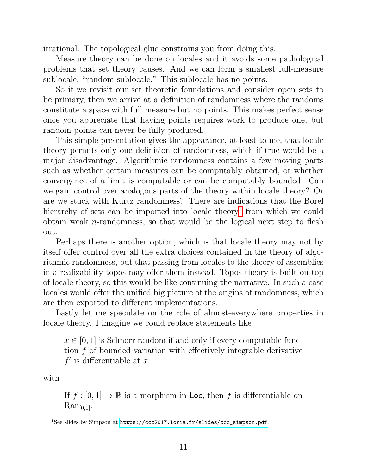irrational. The topological glue constrains you from doing this.

Measure theory can be done on locales and it avoids some pathological problems that set theory causes. And we can form a smallest full-measure sublocale, "random sublocale." This sublocale has no points.

So if we revisit our set theoretic foundations and consider open sets to be primary, then we arrive at a definition of randomness where the randoms constitute a space with full measure but no points. This makes perfect sense once you appreciate that having points requires work to produce one, but random points can never be fully produced.

This simple presentation gives the appearance, at least to me, that locale theory permits only one definition of randomness, which if true would be a major disadvantage. Algorithmic randomness contains a few moving parts such as whether certain measures can be computably obtained, or whether convergence of a limit is computable or can be computably bounded. Can we gain control over analogous parts of the theory within locale theory? Or are we stuck with Kurtz randomness? There are indications that the Borel hierarchy of sets can be imported into locale theory<sup>[1](#page-10-0)</sup> from which we could obtain weak *n*-randomness, so that would be the logical next step to flesh out.

Perhaps there is another option, which is that locale theory may not by itself offer control over all the extra choices contained in the theory of algorithmic randomness, but that passing from locales to the theory of assemblies in a realizability topos may offer them instead. Topos theory is built on top of locale theory, so this would be like continuing the narrative. In such a case locales would offer the unified big picture of the origins of randomness, which are then exported to different implementations.

Lastly let me speculate on the role of almost-everywhere properties in locale theory. I imagine we could replace statements like

 $x \in [0, 1]$  is Schnorr random if and only if every computable function f of bounded variation with effectively integrable derivative  $f'$  is differentiable at x

with

If  $f : [0, 1] \to \mathbb{R}$  is a morphism in Loc, then f is differentiable on  $\text{Ran}_{[0,1]}$ .

<span id="page-10-0"></span><sup>&</sup>lt;sup>1</sup>See slides by Simpson at [https://ccc2017.loria.fr/slides/ccc\\_simpson.pdf](https://ccc2017.loria.fr/slides/ccc_simpson.pdf).